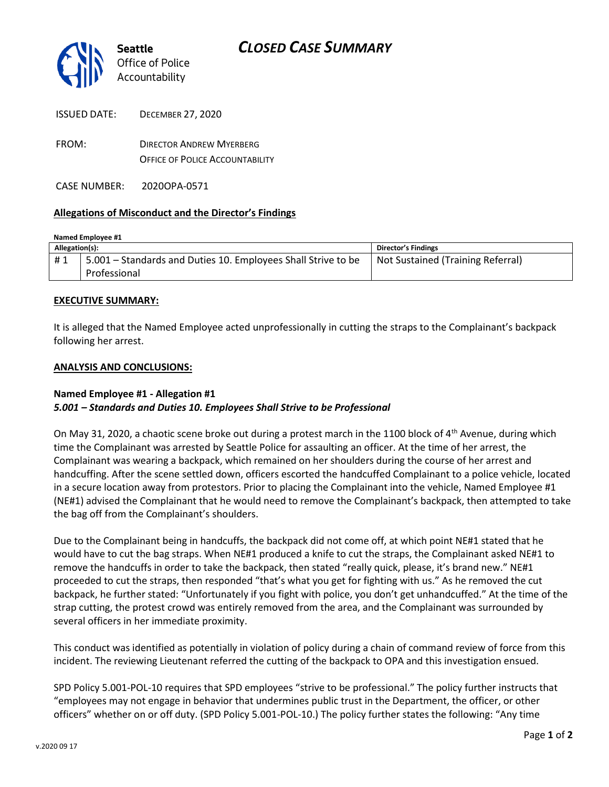

| <b>ISSUED DATE:</b> | <b>DECEMBER 27, 2020</b>               |
|---------------------|----------------------------------------|
| FROM:               | <b>DIRECTOR ANDREW MYERBERG</b>        |
|                     | <b>OFFICE OF POLICE ACCOUNTABILITY</b> |

CASE NUMBER: 2020OPA-0571

## **Allegations of Misconduct and the Director's Findings**

| Named Employee #1 |                                                               |                                   |  |
|-------------------|---------------------------------------------------------------|-----------------------------------|--|
| Allegation(s):    |                                                               | Director's Findings               |  |
| #1                | 5.001 – Standards and Duties 10. Employees Shall Strive to be | Not Sustained (Training Referral) |  |
|                   | Professional                                                  |                                   |  |

## **EXECUTIVE SUMMARY:**

It is alleged that the Named Employee acted unprofessionally in cutting the straps to the Complainant's backpack following her arrest.

#### **ANALYSIS AND CONCLUSIONS:**

# **Named Employee #1 - Allegation #1** *5.001 – Standards and Duties 10. Employees Shall Strive to be Professional*

On May 31, 2020, a chaotic scene broke out during a protest march in the 1100 block of  $4<sup>th</sup>$  Avenue, during which time the Complainant was arrested by Seattle Police for assaulting an officer. At the time of her arrest, the Complainant was wearing a backpack, which remained on her shoulders during the course of her arrest and handcuffing. After the scene settled down, officers escorted the handcuffed Complainant to a police vehicle, located in a secure location away from protestors. Prior to placing the Complainant into the vehicle, Named Employee #1 (NE#1) advised the Complainant that he would need to remove the Complainant's backpack, then attempted to take the bag off from the Complainant's shoulders.

Due to the Complainant being in handcuffs, the backpack did not come off, at which point NE#1 stated that he would have to cut the bag straps. When NE#1 produced a knife to cut the straps, the Complainant asked NE#1 to remove the handcuffs in order to take the backpack, then stated "really quick, please, it's brand new." NE#1 proceeded to cut the straps, then responded "that's what you get for fighting with us." As he removed the cut backpack, he further stated: "Unfortunately if you fight with police, you don't get unhandcuffed." At the time of the strap cutting, the protest crowd was entirely removed from the area, and the Complainant was surrounded by several officers in her immediate proximity.

This conduct was identified as potentially in violation of policy during a chain of command review of force from this incident. The reviewing Lieutenant referred the cutting of the backpack to OPA and this investigation ensued.

SPD Policy 5.001-POL-10 requires that SPD employees "strive to be professional." The policy further instructs that "employees may not engage in behavior that undermines public trust in the Department, the officer, or other officers" whether on or off duty. (SPD Policy 5.001-POL-10.) The policy further states the following: "Any time